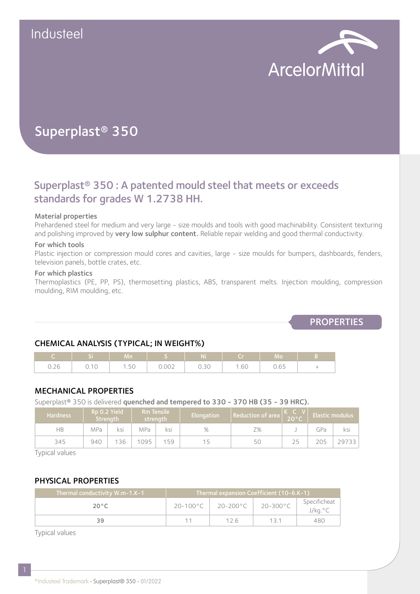

# Superplast® 350

## Superplast® 350 : A patented mould steel that meets or exceeds standards for grades W 1.2738 HH.

#### Material properties

Prehardened steel for medium and very large - size moulds and tools with good machinability. Consistent texturing and polishing improved by very low sulphur content. Reliable repair welding and good thermal conductivity.

#### For which tools

Plastic injection or compression mould cores and cavities, large - size moulds for bumpers, dashboards, fenders, television panels, bottle crates, etc.

#### For which plastics

Thermoplastics (PE, PP, PS), thermosetting plastics, ABS, transparent melts. Injection moulding, compression moulding, RIM moulding, etc.

**PROPERTIES** 

#### CHEMICAL ANALYSIS (TYPICAL; IN WEIGHT%)

|                                                   |              | Mn.  |       | N.E.<br>NI |                       | l Mo        |   |
|---------------------------------------------------|--------------|------|-------|------------|-----------------------|-------------|---|
| $\sim$ $\sim$ $\sim$<br>$\cup$ . $\subset$ $\cup$ | .11C<br>∪.⊥∪ | 1.50 | 0.002 | 0.30       | $\sim$ $\sim$<br>1.60 | 065<br>v.vj | - |

#### MECHANICAL PROPERTIES

Superplast<sup>®</sup> 350 is delivered quenched and tempered to 330 - 370 HB (35 - 39 HRC).

| <b>Hardness</b> | Rp 0.2 Yield<br>Strength |     | <b>Rm Tensile</b><br>strenath |     | Elongation | Reduction of area l | $20^{\circ}$ C | Elastic modulus |       |
|-----------------|--------------------------|-----|-------------------------------|-----|------------|---------------------|----------------|-----------------|-------|
| НB              | MPa                      | ksi | MPa                           | ksi | %          | Ζ%                  |                | GPa             | ksi   |
| 345             | 940                      | 136 | 1095                          | 159 |            | 50                  |                | 205             | 29733 |

Typical values

#### PHYSICAL PROPERTIES

| Thermal conductivity W.m-1.K-1 | Thermal expansion Coefficient (10-6.K-1) |                    |                    |                         |  |
|--------------------------------|------------------------------------------|--------------------|--------------------|-------------------------|--|
| $20^{\circ}$ C                 | $20 - 100^{\circ}$ C                     | $20-200^{\circ}$ C | $20-300^{\circ}$ C | Specificheat<br>J/kg.°C |  |
| 39                             |                                          | 12 G               |                    | 480                     |  |

Typical values